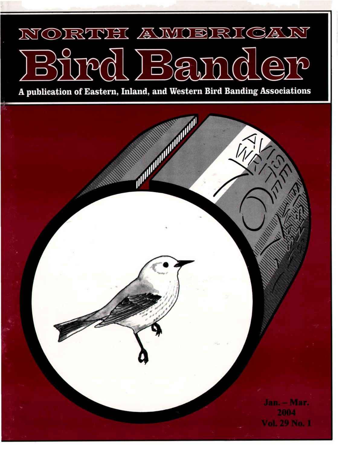## NORTH AWOERICAN  $\ket{B}$

**A publication of Eastern, Inland, and Western Bird Banding Associations**